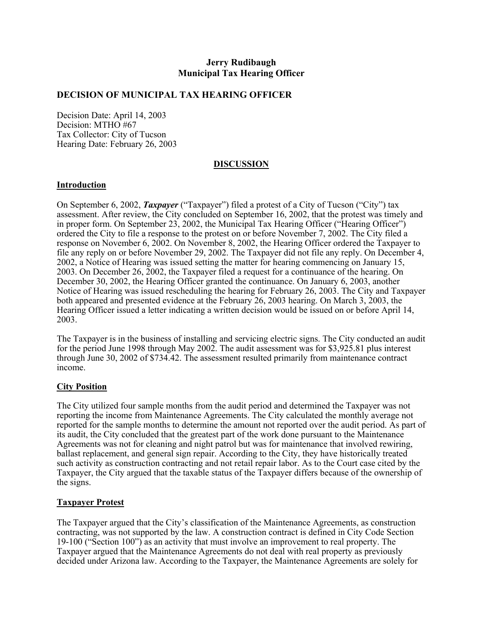## **Jerry Rudibaugh Municipal Tax Hearing Officer**

#### **DECISION OF MUNICIPAL TAX HEARING OFFICER**

Decision Date: April 14, 2003 Decision: MTHO #67 Tax Collector: City of Tucson Hearing Date: February 26, 2003

### **DISCUSSION**

#### **Introduction**

On September 6, 2002, *Taxpayer* ("Taxpayer") filed a protest of a City of Tucson ("City") tax assessment. After review, the City concluded on September 16, 2002, that the protest was timely and in proper form. On September 23, 2002, the Municipal Tax Hearing Officer ("Hearing Officer") ordered the City to file a response to the protest on or before November 7, 2002. The City filed a response on November 6, 2002. On November 8, 2002, the Hearing Officer ordered the Taxpayer to file any reply on or before November 29, 2002. The Taxpayer did not file any reply. On December 4, 2002, a Notice of Hearing was issued setting the matter for hearing commencing on January 15, 2003. On December 26, 2002, the Taxpayer filed a request for a continuance of the hearing. On December 30, 2002, the Hearing Officer granted the continuance. On January 6, 2003, another Notice of Hearing was issued rescheduling the hearing for February 26, 2003. The City and Taxpayer both appeared and presented evidence at the February 26, 2003 hearing. On March 3, 2003, the Hearing Officer issued a letter indicating a written decision would be issued on or before April 14, 2003.

The Taxpayer is in the business of installing and servicing electric signs. The City conducted an audit for the period June 1998 through May 2002. The audit assessment was for \$3,925.81 plus interest through June 30, 2002 of \$734.42. The assessment resulted primarily from maintenance contract income.

#### **City Position**

The City utilized four sample months from the audit period and determined the Taxpayer was not reporting the income from Maintenance Agreements. The City calculated the monthly average not reported for the sample months to determine the amount not reported over the audit period. As part of its audit, the City concluded that the greatest part of the work done pursuant to the Maintenance Agreements was not for cleaning and night patrol but was for maintenance that involved rewiring, ballast replacement, and general sign repair. According to the City, they have historically treated such activity as construction contracting and not retail repair labor. As to the Court case cited by the Taxpayer, the City argued that the taxable status of the Taxpayer differs because of the ownership of the signs.

### **Taxpayer Protest**

The Taxpayer argued that the City's classification of the Maintenance Agreements, as construction contracting, was not supported by the law. A construction contract is defined in City Code Section 19-100 ("Section 100") as an activity that must involve an improvement to real property. The Taxpayer argued that the Maintenance Agreements do not deal with real property as previously decided under Arizona law. According to the Taxpayer, the Maintenance Agreements are solely for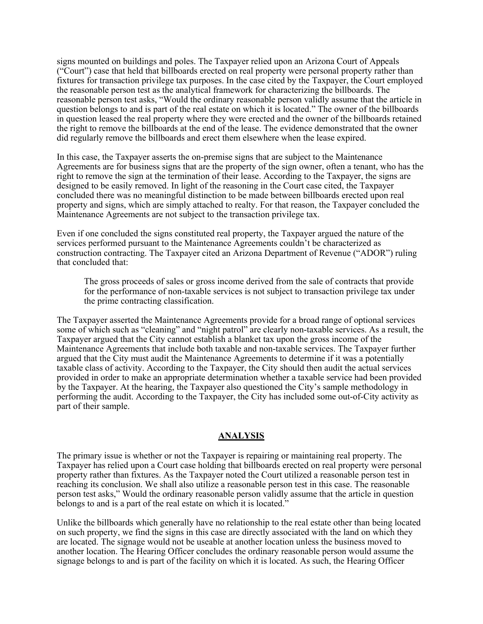signs mounted on buildings and poles. The Taxpayer relied upon an Arizona Court of Appeals ("Court") case that held that billboards erected on real property were personal property rather than fixtures for transaction privilege tax purposes. In the case cited by the Taxpayer, the Court employed the reasonable person test as the analytical framework for characterizing the billboards. The reasonable person test asks, "Would the ordinary reasonable person validly assume that the article in question belongs to and is part of the real estate on which it is located." The owner of the billboards in question leased the real property where they were erected and the owner of the billboards retained the right to remove the billboards at the end of the lease. The evidence demonstrated that the owner did regularly remove the billboards and erect them elsewhere when the lease expired.

In this case, the Taxpayer asserts the on-premise signs that are subject to the Maintenance Agreements are for business signs that are the property of the sign owner, often a tenant, who has the right to remove the sign at the termination of their lease. According to the Taxpayer, the signs are designed to be easily removed. In light of the reasoning in the Court case cited, the Taxpayer concluded there was no meaningful distinction to be made between billboards erected upon real property and signs, which are simply attached to realty. For that reason, the Taxpayer concluded the Maintenance Agreements are not subject to the transaction privilege tax.

Even if one concluded the signs constituted real property, the Taxpayer argued the nature of the services performed pursuant to the Maintenance Agreements couldn't be characterized as construction contracting. The Taxpayer cited an Arizona Department of Revenue ("ADOR") ruling that concluded that:

The gross proceeds of sales or gross income derived from the sale of contracts that provide for the performance of non-taxable services is not subject to transaction privilege tax under the prime contracting classification.

The Taxpayer asserted the Maintenance Agreements provide for a broad range of optional services some of which such as "cleaning" and "night patrol" are clearly non-taxable services. As a result, the Taxpayer argued that the City cannot establish a blanket tax upon the gross income of the Maintenance Agreements that include both taxable and non-taxable services. The Taxpayer further argued that the City must audit the Maintenance Agreements to determine if it was a potentially taxable class of activity. According to the Taxpayer, the City should then audit the actual services provided in order to make an appropriate determination whether a taxable service had been provided by the Taxpayer. At the hearing, the Taxpayer also questioned the City's sample methodology in performing the audit. According to the Taxpayer, the City has included some out-of-City activity as part of their sample.

#### **ANALYSIS**

The primary issue is whether or not the Taxpayer is repairing or maintaining real property. The Taxpayer has relied upon a Court case holding that billboards erected on real property were personal property rather than fixtures. As the Taxpayer noted the Court utilized a reasonable person test in reaching its conclusion. We shall also utilize a reasonable person test in this case. The reasonable person test asks," Would the ordinary reasonable person validly assume that the article in question belongs to and is a part of the real estate on which it is located."

Unlike the billboards which generally have no relationship to the real estate other than being located on such property, we find the signs in this case are directly associated with the land on which they are located. The signage would not be useable at another location unless the business moved to another location. The Hearing Officer concludes the ordinary reasonable person would assume the signage belongs to and is part of the facility on which it is located. As such, the Hearing Officer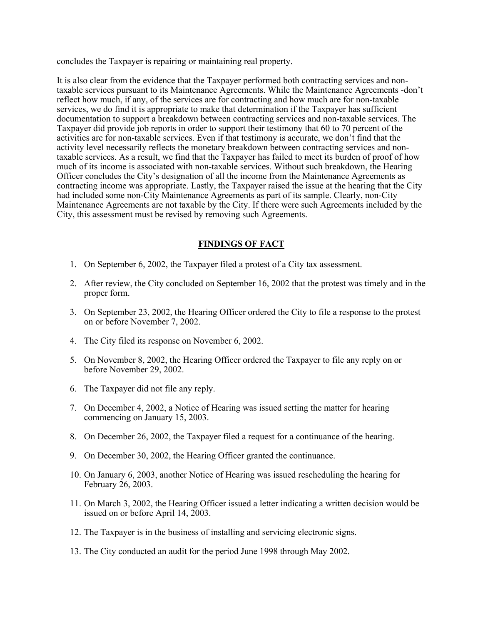concludes the Taxpayer is repairing or maintaining real property.

It is also clear from the evidence that the Taxpayer performed both contracting services and nontaxable services pursuant to its Maintenance Agreements. While the Maintenance Agreements -don't reflect how much, if any, of the services are for contracting and how much are for non-taxable services, we do find it is appropriate to make that determination if the Taxpayer has sufficient documentation to support a breakdown between contracting services and non-taxable services. The Taxpayer did provide job reports in order to support their testimony that 60 to 70 percent of the activities are for non-taxable services. Even if that testimony is accurate, we don't find that the activity level necessarily reflects the monetary breakdown between contracting services and nontaxable services. As a result, we find that the Taxpayer has failed to meet its burden of proof of how much of its income is associated with non-taxable services. Without such breakdown, the Hearing Officer concludes the City's designation of all the income from the Maintenance Agreements as contracting income was appropriate. Lastly, the Taxpayer raised the issue at the hearing that the City had included some non-City Maintenance Agreements as part of its sample. Clearly, non-City Maintenance Agreements are not taxable by the City. If there were such Agreements included by the City, this assessment must be revised by removing such Agreements.

# **FINDINGS OF FACT**

- 1. On September 6, 2002, the Taxpayer filed a protest of a City tax assessment.
- 2. After review, the City concluded on September 16, 2002 that the protest was timely and in the proper form.
- 3. On September 23, 2002, the Hearing Officer ordered the City to file a response to the protest on or before November 7, 2002.
- 4. The City filed its response on November 6, 2002.
- 5. On November 8, 2002, the Hearing Officer ordered the Taxpayer to file any reply on or before November 29, 2002.
- 6. The Taxpayer did not file any reply.
- 7. On December 4, 2002, a Notice of Hearing was issued setting the matter for hearing commencing on January 15, 2003.
- 8. On December 26, 2002, the Taxpayer filed a request for a continuance of the hearing.
- 9. On December 30, 2002, the Hearing Officer granted the continuance.
- 10. On January 6, 2003, another Notice of Hearing was issued rescheduling the hearing for February 26, 2003.
- 11. On March 3, 2002, the Hearing Officer issued a letter indicating a written decision would be issued on or before April 14, 2003.
- 12. The Taxpayer is in the business of installing and servicing electronic signs.
- 13. The City conducted an audit for the period June 1998 through May 2002.